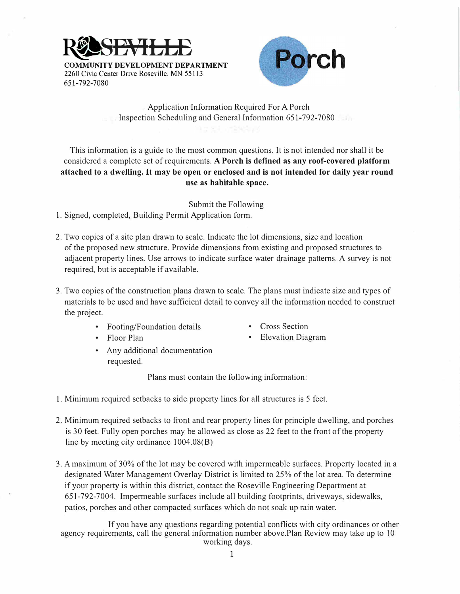



. Application Information Required For A Porch Inspection Scheduling and General Information 651-792-7080

This information is a guide to the most common questions. It is not intended nor shall it be considered a complete set of requirements. **A Porch is defined as any roof-covered platform attached to a dwelling. It may be open or enclosed and is not intended for daily year round use as habitable space.** 

Submit the Following

1. Signed, completed, Building Permit Application form.

- 2. Two copies of a site plan drawn to scale. Indicate the lot dimensions, size and location of the proposed new structure. Provide dimensions from existing and proposed strnctures to adjacent property lines. Use arrows to indicate surface water drainage patterns. A survey is not required, but is acceptable if available.
- 3. Two copies of the constrnction plans drawn to scale. The plans must indicate size and types of materials to be used and have sufficient detail to convey all the information needed to constrnct the project.
	- Footing/Foundation details
- Cross Section

• Floor Plan

- Elevation Diagram
- Any additional documentation requested.

Plans must contain the following information:

- 1. Minimum required setbacks to side property lines for all strnctures is 5 feet.
- 2. Minimum required setbacks to front and rear property lines for principle dwelling, and porches is 30 feet. Fully open porches may be allowed as close as 22 feet to the front of the property line by meeting city ordinance 1004.08(B)
- 3. A maximum of 30% of the lot may be covered with impermeable surfaces. Property located in a designated Water Management Overlay District is limited to 25% of the lot area. To determine if your property is within this district, contact the Roseville Engineering Department at 651-792-7004. Impermeable surfaces include all building footprints, driveways, sidewalks, patios, porches and other compacted surfaces which do not soak up rain water.

If you have any questions regarding potential conflicts with city ordinances or other agency requirements, call the general information number above.Plan Review may take up to 10 working days.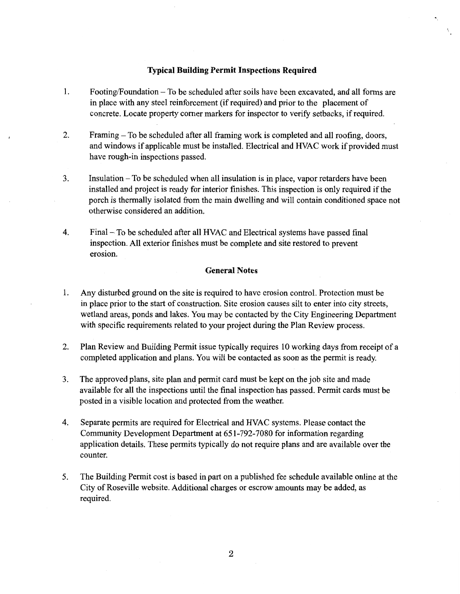## **Typical Building Permit Inspections Required**

- 1. Footing/Foundation – To be scheduled after soils have been excavated, and all forms are in place with any steel reinforcement (if required) and prior to the placement of concrete. Locate property corner markers for inspector to verify setbacks, if required.
- $\overline{2}$ . Framing – To be scheduled after all framing work is completed and all roofing, doors, and windows if applicable must be installed. Electrical and HVAC work if provided must have rough-in inspections passed.
- 3. Insulation – To be scheduled when all insulation is in place, vapor retarders have been installed and project is ready for interior finishes. This inspection is only required if the porch is thermally isolated from the main dwelling and will contain conditioned space not otherwise considered an addition.
- 4. Final – To be scheduled after all HVAC and Electrical systems have passed final inspection. All exterior finishes must be complete and site restored to prevent erosion.

## **General Notes**

- 1. Any disturbed ground on the site is required to have erosion control. Protection must be in place prior to the start of construction. Site erosion causes silt to enter into city streets, wetland areas, ponds and lakes. You may be contacted by the City Engineering Department with specific requirements related to your project during the Plan Review process.
- $2.$ Plan Review and Building Permit issue typically requires 10 working days from receipt of a completed application and plans. You will be contacted as soon as the permit is ready.
- $3.$ The approved plans, site plan and permit card must be kept on the job site and made available for all the inspections until the final inspection has passed. Permit cards must be posted in a visible location and protected from the weather.
- 4. Separate permits are required for Electrical and HVAC systems. Please contact the Community Development Department at 651-792-7080 for information regarding application details. These permits typically do not require plans and are available over the counter.
- 5. The Building Permit cost is based in part on a published fee schedule available online at the City of Roseville website. Additional charges or escrow amounts may be added, as required.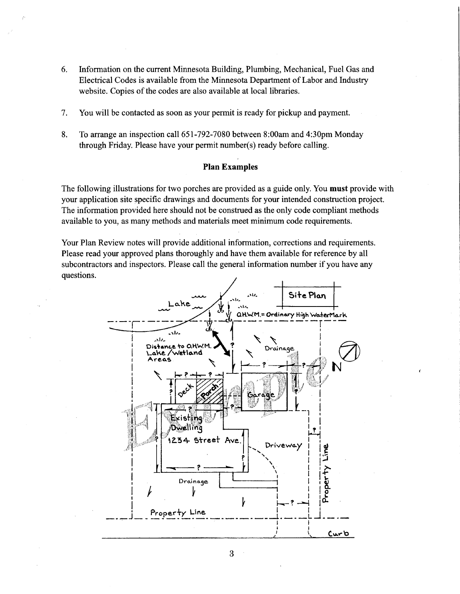- 6. Information on the current Minnesota Building, Plumbing, Mechanical, Fuel Gas and Electrical Codes is available from the Minnesota Department of Labor and Industry website. Copies of the codes are also available at local libraries.
- 7. You will be contacted as soon as your permit is ready for pickup and payment.
- 8. To arrange an inspection call 651-792-7080 between 8:00am and 4:30pm Monday through Friday. Please have your permit number(s) ready before calling.

## **Plan Examples**

The following illustrations for two porches are provided as a guide only. You must provide with your application site specific drawings and documents for your intended construction project. The information provided here should not be construed as the only code compliant methods available to you, as many methods and materials meet minimum code requirements.

Your Plan Review notes will provide additional information, corrections and requirements. Please read your approved plans thoroughly and have them available for reference by all subcontractors and inspectors. Please call the general information number if you have any questions.



3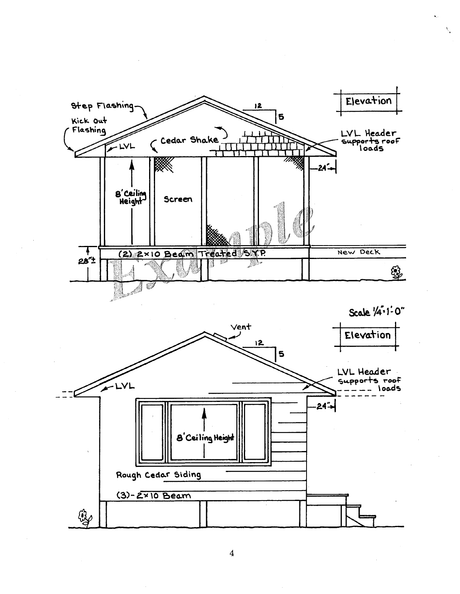

 $\boldsymbol{4}$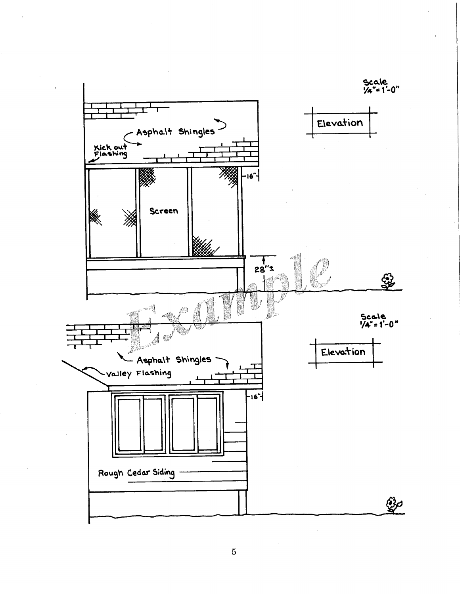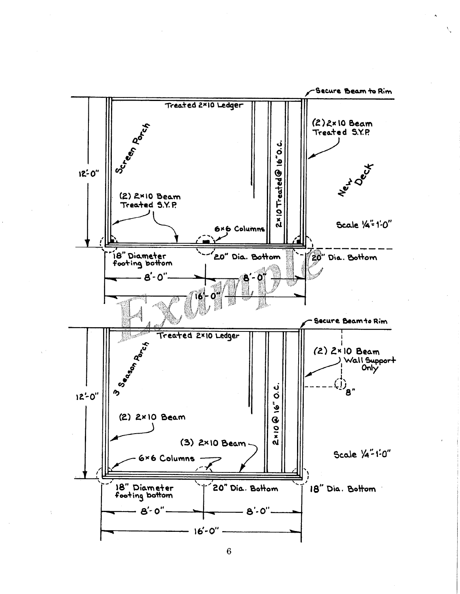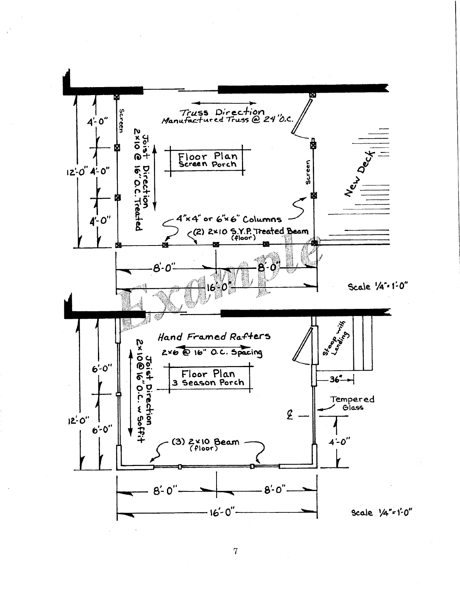

 $\bf 7$